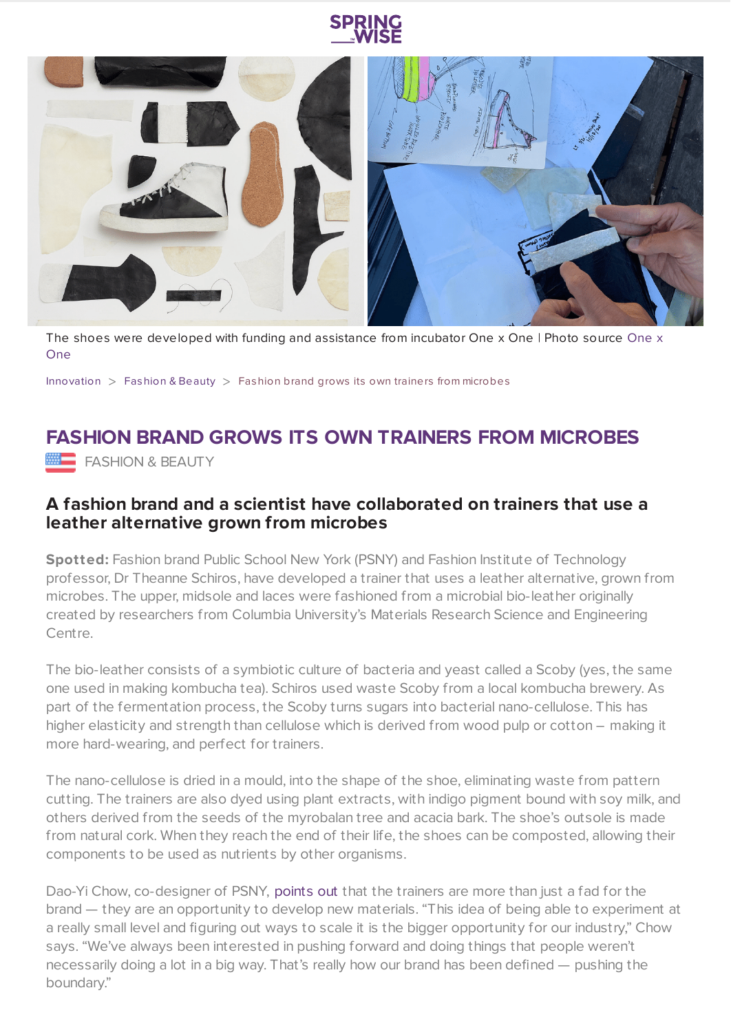



The shoes were [developed](https://onexone.earth/public-school-theanne-schiros) with funding and assistance from incubator One x One | Photo source One x One

[Innovation](https://www.springwise.com/search?type=innovation)  $>$  [Fashion](https://www.springwise.com/search?type=innovation§or=design-fashion-and-beauty) & Beauty  $>$  Fashion brand grows its own trainers from microbes

## **FASHION BRAND GROWS ITS OWN TRAINERS FROM MICROBES**

**FASHION & BEAUTY** 

## **A fashion brand and a scientist have collaborated on trainers that use a leather alternative grown from microbes**

**Spotted:** Fashion brand Public School New York (PSNY) and Fashion Institute of Technology professor, Dr Theanne Schiros, have developed a trainer that uses a leather alternative, grown from microbes. The upper, midsole and laces were fashioned from a microbial bio-leather originally created by researchers from Columbia University's Materials Research Science and Engineering Centre.

The bio-leather consists of a symbiotic culture of bacteria and yeast called a Scoby (yes, the same one used in making kombucha tea). Schiros used waste Scoby from a local kombucha brewery. As part of the fermentation process, the Scoby turns sugars into bacterial nano-cellulose. This has higher elasticity and strength than cellulose which is derived from wood pulp or cotton – making it more hard-wearing, and perfect for trainers.

The nano-cellulose is dried in a mould, into the shape of the shoe, eliminating waste from pattern cutting. The trainers are also dyed using plant extracts, with indigo pigment bound with soy milk, and others derived from the seeds of the myrobalan tree and acacia bark. The shoe's outsole is made from natural cork. When they reach the end of their life, the shoes can be composted, allowing their components to be used as nutrients by other organisms.

Dao-Yi Chow, co-designer of PSNY, [points](https://www.dezeen.com/2021/03/10/public-school-compostable-trainers-theanne-schiros-onexone/) out that the trainers are more than just a fad for the brand — they are an opportunity to develop new materials. "This idea of being able to experiment at a really small level and figuring out ways to scale it is the bigger opportunity for our industry," Chow says. "We've always been interested in pushing forward and doing things that people weren't necessarily doing a lot in a big way. That's really how our brand has been defined — pushing the boundary."